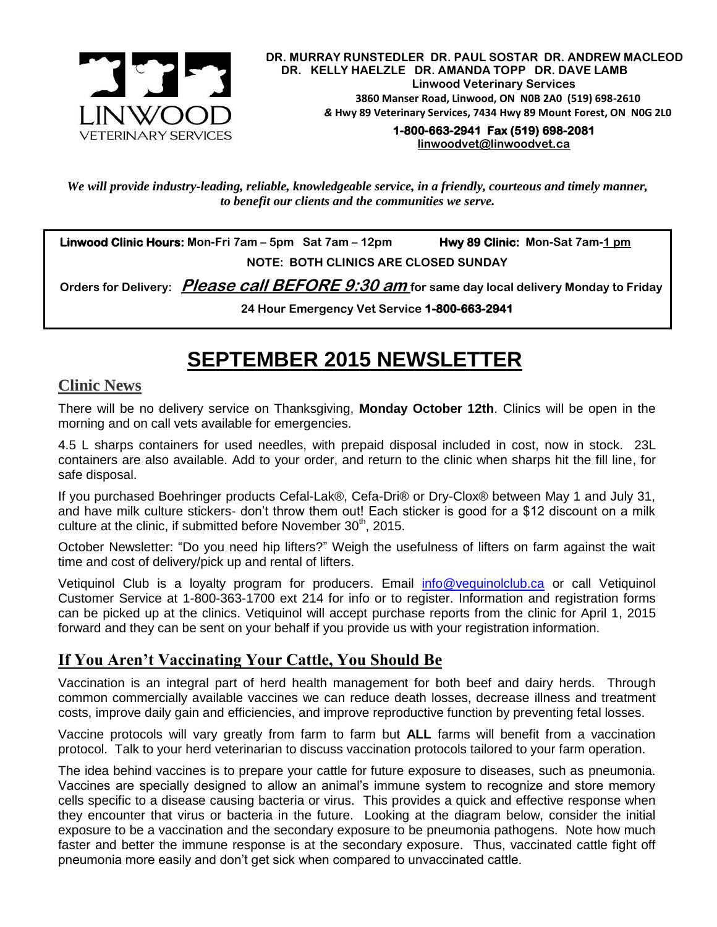

 **DR. MURRAY RUNSTEDLER DR. PAUL SOSTAR DR. ANDREW MACLEOD DR. KELLY HAELZLE DR. AMANDA TOPP DR. DAVE LAMB Linwood Veterinary Services 3860 Manser Road, Linwood, ON N0B 2A0 (519) 698-2610** *&* **Hwy 89 Veterinary Services, 7434 Hwy 89 Mount Forest, ON N0G 2L0**

 **1-800-663-2941 Fax (519) 698-2081 [linwoodvet@linwoodvet.ca](mailto:linwoodvet@linwoodvet.ca)**

*We will provide industry-leading, reliable, knowledgeable service, in a friendly, courteous and timely manner, to benefit our clients and the communities we serve.*

 **Linwood Clinic Hours: Mon-Fri 7am – 5pm Sat 7am – 12pm Hwy 89 Clinic: Mon-Sat 7am-1 pm NOTE: BOTH CLINICS ARE CLOSED SUNDAY**

 **Orders for Delivery: Please call BEFORE 9:30 am for same day local delivery Monday to Friday** 

**24 Hour Emergency Vet Service 1-800-663-2941** 

# **SEPTEMBER 2015 NEWSLETTER**

## **Clinic News**

There will be no delivery service on Thanksgiving, **Monday October 12th**. Clinics will be open in the morning and on call vets available for emergencies.

4.5 L sharps containers for used needles, with prepaid disposal included in cost, now in stock. 23L containers are also available. Add to your order, and return to the clinic when sharps hit the fill line, for safe disposal.

If you purchased Boehringer products Cefal-Lak®, Cefa-Dri® or Dry-Clox® between May 1 and July 31, and have milk culture stickers- don't throw them out! Each sticker is good for a \$12 discount on a milk culture at the clinic, if submitted before November  $30<sup>th</sup>$ , 2015.

October Newsletter: "Do you need hip lifters?" Weigh the usefulness of lifters on farm against the wait time and cost of delivery/pick up and rental of lifters.

Vetiquinol Club is a loyalty program for producers. Email [info@vequinolclub.ca](mailto:info@vequinolclub.ca) or call Vetiquinol Customer Service at 1-800-363-1700 ext 214 for info or to register. Information and registration forms can be picked up at the clinics. Vetiquinol will accept purchase reports from the clinic for April 1, 2015 forward and they can be sent on your behalf if you provide us with your registration information.

## **If You Aren't Vaccinating Your Cattle, You Should Be**

Vaccination is an integral part of herd health management for both beef and dairy herds. Through common commercially available vaccines we can reduce death losses, decrease illness and treatment costs, improve daily gain and efficiencies, and improve reproductive function by preventing fetal losses.

Vaccine protocols will vary greatly from farm to farm but **ALL** farms will benefit from a vaccination protocol. Talk to your herd veterinarian to discuss vaccination protocols tailored to your farm operation.

The idea behind vaccines is to prepare your cattle for future exposure to diseases, such as pneumonia. Vaccines are specially designed to allow an animal's immune system to recognize and store memory cells specific to a disease causing bacteria or virus. This provides a quick and effective response when they encounter that virus or bacteria in the future. Looking at the diagram below, consider the initial exposure to be a vaccination and the secondary exposure to be pneumonia pathogens. Note how much faster and better the immune response is at the secondary exposure. Thus, vaccinated cattle fight off pneumonia more easily and don't get sick when compared to unvaccinated cattle.